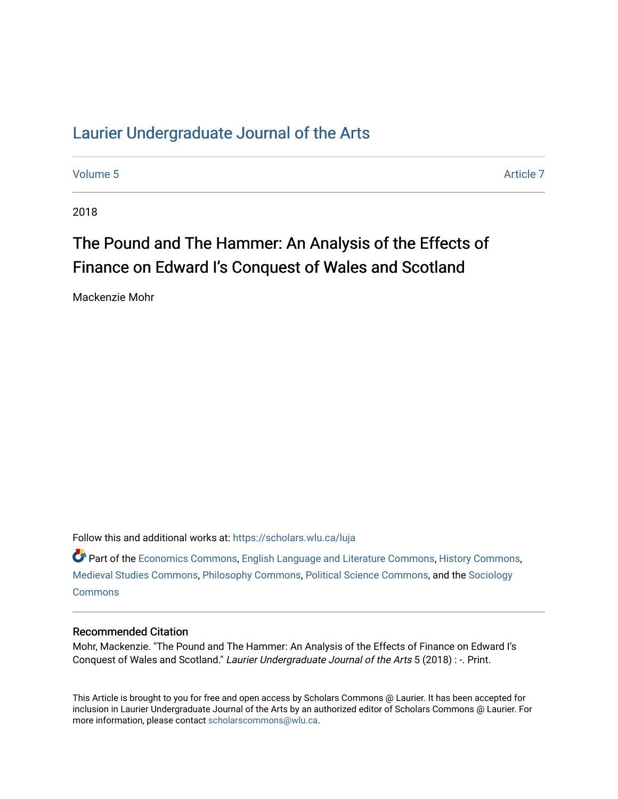# [Laurier Undergraduate Journal of the Arts](https://scholars.wlu.ca/luja)

[Volume 5](https://scholars.wlu.ca/luja/vol5) Article 7

2018

# The Pound and The Hammer: An Analysis of the Effects of Finance on Edward I's Conquest of Wales and Scotland

Mackenzie Mohr

Follow this and additional works at: [https://scholars.wlu.ca/luja](https://scholars.wlu.ca/luja?utm_source=scholars.wlu.ca%2Fluja%2Fvol5%2Fiss1%2F7&utm_medium=PDF&utm_campaign=PDFCoverPages) 

Part of the [Economics Commons](http://network.bepress.com/hgg/discipline/340?utm_source=scholars.wlu.ca%2Fluja%2Fvol5%2Fiss1%2F7&utm_medium=PDF&utm_campaign=PDFCoverPages), [English Language and Literature Commons,](http://network.bepress.com/hgg/discipline/455?utm_source=scholars.wlu.ca%2Fluja%2Fvol5%2Fiss1%2F7&utm_medium=PDF&utm_campaign=PDFCoverPages) [History Commons,](http://network.bepress.com/hgg/discipline/489?utm_source=scholars.wlu.ca%2Fluja%2Fvol5%2Fiss1%2F7&utm_medium=PDF&utm_campaign=PDFCoverPages) [Medieval Studies Commons](http://network.bepress.com/hgg/discipline/480?utm_source=scholars.wlu.ca%2Fluja%2Fvol5%2Fiss1%2F7&utm_medium=PDF&utm_campaign=PDFCoverPages), [Philosophy Commons](http://network.bepress.com/hgg/discipline/525?utm_source=scholars.wlu.ca%2Fluja%2Fvol5%2Fiss1%2F7&utm_medium=PDF&utm_campaign=PDFCoverPages), [Political Science Commons](http://network.bepress.com/hgg/discipline/386?utm_source=scholars.wlu.ca%2Fluja%2Fvol5%2Fiss1%2F7&utm_medium=PDF&utm_campaign=PDFCoverPages), and the [Sociology](http://network.bepress.com/hgg/discipline/416?utm_source=scholars.wlu.ca%2Fluja%2Fvol5%2Fiss1%2F7&utm_medium=PDF&utm_campaign=PDFCoverPages)  **[Commons](http://network.bepress.com/hgg/discipline/416?utm_source=scholars.wlu.ca%2Fluja%2Fvol5%2Fiss1%2F7&utm_medium=PDF&utm_campaign=PDFCoverPages)** 

# Recommended Citation

Mohr, Mackenzie. "The Pound and The Hammer: An Analysis of the Effects of Finance on Edward I's Conquest of Wales and Scotland." Laurier Undergraduate Journal of the Arts 5 (2018) : -. Print.

This Article is brought to you for free and open access by Scholars Commons @ Laurier. It has been accepted for inclusion in Laurier Undergraduate Journal of the Arts by an authorized editor of Scholars Commons @ Laurier. For more information, please contact [scholarscommons@wlu.ca](mailto:scholarscommons@wlu.ca).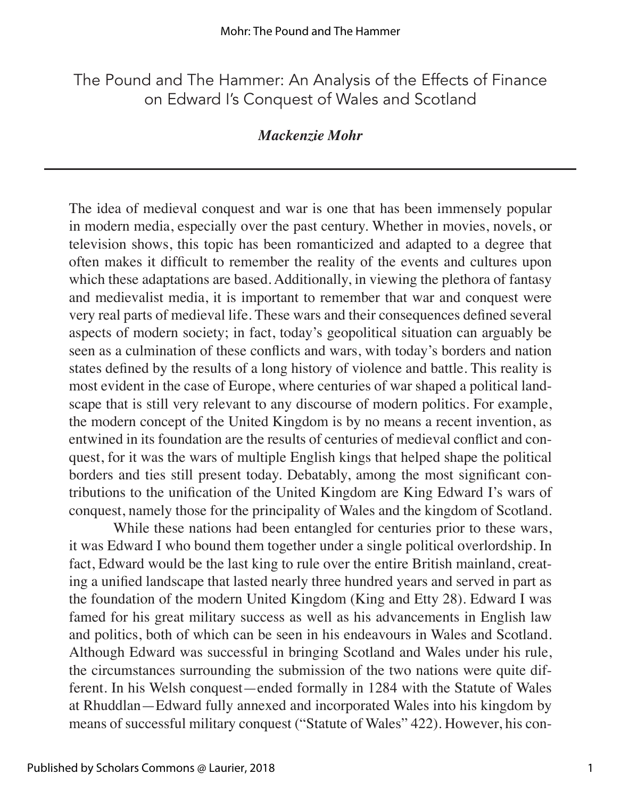# The Pound and The Hammer: An Analysis of the Effects of Finance on Edward I's Conquest of Wales and Scotland

# *Mackenzie Mohr*

The idea of medieval conquest and war is one that has been immensely popular in modern media, especially over the past century. Whether in movies, novels, or television shows, this topic has been romanticized and adapted to a degree that often makes it difficult to remember the reality of the events and cultures upon which these adaptations are based. Additionally, in viewing the plethora of fantasy and medievalist media, it is important to remember that war and conquest were very real parts of medieval life. These wars and their consequences defined several aspects of modern society; in fact, today's geopolitical situation can arguably be seen as a culmination of these conflicts and wars, with today's borders and nation states defined by the results of a long history of violence and battle. This reality is most evident in the case of Europe, where centuries of war shaped a political landscape that is still very relevant to any discourse of modern politics. For example, the modern concept of the United Kingdom is by no means a recent invention, as entwined in its foundation are the results of centuries of medieval conflict and conquest, for it was the wars of multiple English kings that helped shape the political borders and ties still present today. Debatably, among the most significant contributions to the unification of the United Kingdom are King Edward I's wars of conquest, namely those for the principality of Wales and the kingdom of Scotland.

While these nations had been entangled for centuries prior to these wars, it was Edward I who bound them together under a single political overlordship. In fact, Edward would be the last king to rule over the entire British mainland, creating a unified landscape that lasted nearly three hundred years and served in part as the foundation of the modern United Kingdom (King and Etty 28). Edward I was famed for his great military success as well as his advancements in English law and politics, both of which can be seen in his endeavours in Wales and Scotland. Although Edward was successful in bringing Scotland and Wales under his rule, the circumstances surrounding the submission of the two nations were quite different. In his Welsh conquest—ended formally in 1284 with the Statute of Wales at Rhuddlan—Edward fully annexed and incorporated Wales into his kingdom by means of successful military conquest ("Statute of Wales" 422). However, his con-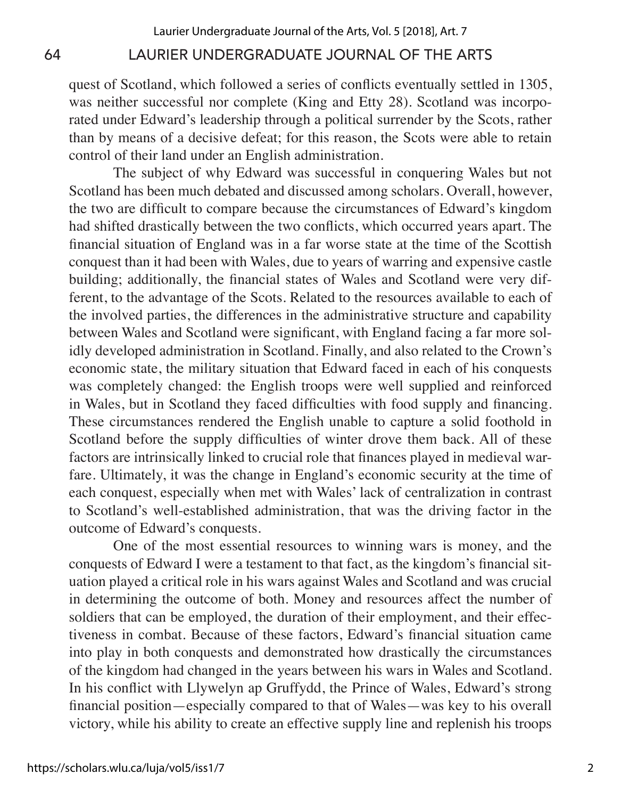quest of Scotland, which followed a series of conflicts eventually settled in 1305, was neither successful nor complete (King and Etty 28). Scotland was incorporated under Edward's leadership through a political surrender by the Scots, rather than by means of a decisive defeat; for this reason, the Scots were able to retain control of their land under an English administration.

The subject of why Edward was successful in conquering Wales but not Scotland has been much debated and discussed among scholars. Overall, however, the two are difficult to compare because the circumstances of Edward's kingdom had shifted drastically between the two conflicts, which occurred years apart. The financial situation of England was in a far worse state at the time of the Scottish conquest than it had been with Wales, due to years of warring and expensive castle building; additionally, the financial states of Wales and Scotland were very different, to the advantage of the Scots. Related to the resources available to each of the involved parties, the differences in the administrative structure and capability between Wales and Scotland were significant, with England facing a far more solidly developed administration in Scotland. Finally, and also related to the Crown's economic state, the military situation that Edward faced in each of his conquests was completely changed: the English troops were well supplied and reinforced in Wales, but in Scotland they faced difficulties with food supply and financing. These circumstances rendered the English unable to capture a solid foothold in Scotland before the supply difficulties of winter drove them back. All of these factors are intrinsically linked to crucial role that finances played in medieval warfare. Ultimately, it was the change in England's economic security at the time of each conquest, especially when met with Wales' lack of centralization in contrast to Scotland's well-established administration, that was the driving factor in the outcome of Edward's conquests.

One of the most essential resources to winning wars is money, and the conquests of Edward I were a testament to that fact, as the kingdom's financial situation played a critical role in his wars against Wales and Scotland and was crucial in determining the outcome of both. Money and resources affect the number of soldiers that can be employed, the duration of their employment, and their effectiveness in combat. Because of these factors, Edward's financial situation came into play in both conquests and demonstrated how drastically the circumstances of the kingdom had changed in the years between his wars in Wales and Scotland. In his conflict with Llywelyn ap Gruffydd, the Prince of Wales, Edward's strong financial position—especially compared to that of Wales—was key to his overall victory, while his ability to create an effective supply line and replenish his troops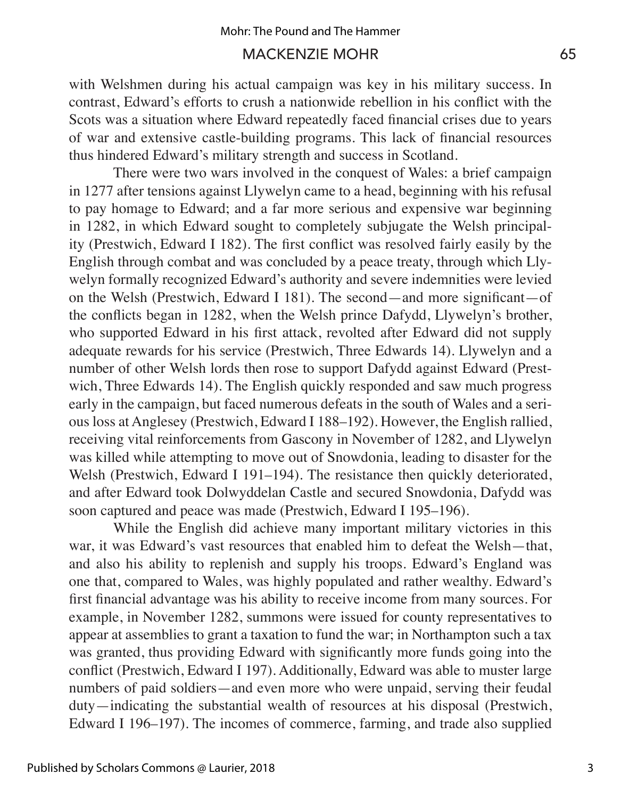with Welshmen during his actual campaign was key in his military success. In contrast, Edward's efforts to crush a nationwide rebellion in his conflict with the Scots was a situation where Edward repeatedly faced financial crises due to years of war and extensive castle-building programs. This lack of financial resources thus hindered Edward's military strength and success in Scotland.

There were two wars involved in the conquest of Wales: a brief campaign in 1277 after tensions against Llywelyn came to a head, beginning with his refusal to pay homage to Edward; and a far more serious and expensive war beginning in 1282, in which Edward sought to completely subjugate the Welsh principality (Prestwich, Edward I 182). The first conflict was resolved fairly easily by the English through combat and was concluded by a peace treaty, through which Llywelyn formally recognized Edward's authority and severe indemnities were levied on the Welsh (Prestwich, Edward I 181). The second—and more significant—of the conflicts began in 1282, when the Welsh prince Dafydd, Llywelyn's brother, who supported Edward in his first attack, revolted after Edward did not supply adequate rewards for his service (Prestwich, Three Edwards 14). Llywelyn and a number of other Welsh lords then rose to support Dafydd against Edward (Prestwich, Three Edwards 14). The English quickly responded and saw much progress early in the campaign, but faced numerous defeats in the south of Wales and a serious loss at Anglesey (Prestwich, Edward I 188–192). However, the English rallied, receiving vital reinforcements from Gascony in November of 1282, and Llywelyn was killed while attempting to move out of Snowdonia, leading to disaster for the Welsh (Prestwich, Edward I 191–194). The resistance then quickly deteriorated, and after Edward took Dolwyddelan Castle and secured Snowdonia, Dafydd was soon captured and peace was made (Prestwich, Edward I 195–196).

While the English did achieve many important military victories in this war, it was Edward's vast resources that enabled him to defeat the Welsh—that, and also his ability to replenish and supply his troops. Edward's England was one that, compared to Wales, was highly populated and rather wealthy. Edward's first financial advantage was his ability to receive income from many sources. For example, in November 1282, summons were issued for county representatives to appear at assemblies to grant a taxation to fund the war; in Northampton such a tax was granted, thus providing Edward with significantly more funds going into the conflict (Prestwich, Edward I 197). Additionally, Edward was able to muster large numbers of paid soldiers—and even more who were unpaid, serving their feudal duty—indicating the substantial wealth of resources at his disposal (Prestwich, Edward I 196–197). The incomes of commerce, farming, and trade also supplied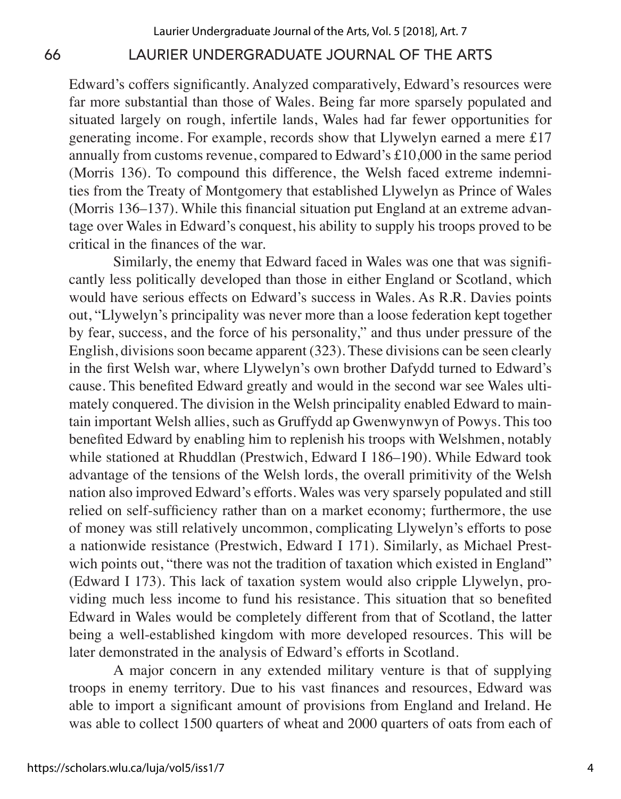Edward's coffers significantly. Analyzed comparatively, Edward's resources were far more substantial than those of Wales. Being far more sparsely populated and situated largely on rough, infertile lands, Wales had far fewer opportunities for generating income. For example, records show that Llywelyn earned a mere £17 annually from customs revenue, compared to Edward's £10,000 in the same period (Morris 136). To compound this difference, the Welsh faced extreme indemnities from the Treaty of Montgomery that established Llywelyn as Prince of Wales (Morris 136–137). While this financial situation put England at an extreme advantage over Wales in Edward's conquest, his ability to supply his troops proved to be critical in the finances of the war.

Similarly, the enemy that Edward faced in Wales was one that was significantly less politically developed than those in either England or Scotland, which would have serious effects on Edward's success in Wales. As R.R. Davies points out, "Llywelyn's principality was never more than a loose federation kept together by fear, success, and the force of his personality," and thus under pressure of the English, divisions soon became apparent (323). These divisions can be seen clearly in the first Welsh war, where Llywelyn's own brother Dafydd turned to Edward's cause. This benefited Edward greatly and would in the second war see Wales ultimately conquered. The division in the Welsh principality enabled Edward to maintain important Welsh allies, such as Gruffydd ap Gwenwynwyn of Powys. This too benefited Edward by enabling him to replenish his troops with Welshmen, notably while stationed at Rhuddlan (Prestwich, Edward I 186–190). While Edward took advantage of the tensions of the Welsh lords, the overall primitivity of the Welsh nation also improved Edward's efforts. Wales was very sparsely populated and still relied on self-sufficiency rather than on a market economy; furthermore, the use of money was still relatively uncommon, complicating Llywelyn's efforts to pose a nationwide resistance (Prestwich, Edward I 171). Similarly, as Michael Prestwich points out, "there was not the tradition of taxation which existed in England" (Edward I 173). This lack of taxation system would also cripple Llywelyn, providing much less income to fund his resistance. This situation that so benefited Edward in Wales would be completely different from that of Scotland, the latter being a well-established kingdom with more developed resources. This will be later demonstrated in the analysis of Edward's efforts in Scotland.

A major concern in any extended military venture is that of supplying troops in enemy territory. Due to his vast finances and resources, Edward was able to import a significant amount of provisions from England and Ireland. He was able to collect 1500 quarters of wheat and 2000 quarters of oats from each of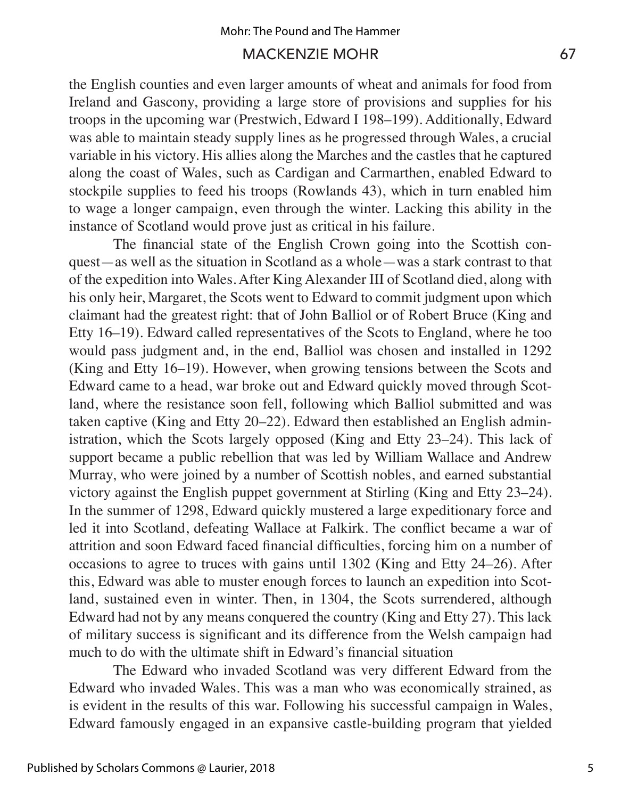the English counties and even larger amounts of wheat and animals for food from Ireland and Gascony, providing a large store of provisions and supplies for his troops in the upcoming war (Prestwich, Edward I 198–199). Additionally, Edward was able to maintain steady supply lines as he progressed through Wales, a crucial variable in his victory. His allies along the Marches and the castles that he captured along the coast of Wales, such as Cardigan and Carmarthen, enabled Edward to stockpile supplies to feed his troops (Rowlands 43), which in turn enabled him to wage a longer campaign, even through the winter. Lacking this ability in the instance of Scotland would prove just as critical in his failure.

The financial state of the English Crown going into the Scottish conquest—as well as the situation in Scotland as a whole—was a stark contrast to that of the expedition into Wales. After King Alexander III of Scotland died, along with his only heir, Margaret, the Scots went to Edward to commit judgment upon which claimant had the greatest right: that of John Balliol or of Robert Bruce (King and Etty 16–19). Edward called representatives of the Scots to England, where he too would pass judgment and, in the end, Balliol was chosen and installed in 1292 (King and Etty 16–19). However, when growing tensions between the Scots and Edward came to a head, war broke out and Edward quickly moved through Scotland, where the resistance soon fell, following which Balliol submitted and was taken captive (King and Etty 20–22). Edward then established an English administration, which the Scots largely opposed (King and Etty 23–24). This lack of support became a public rebellion that was led by William Wallace and Andrew Murray, who were joined by a number of Scottish nobles, and earned substantial victory against the English puppet government at Stirling (King and Etty 23–24). In the summer of 1298, Edward quickly mustered a large expeditionary force and led it into Scotland, defeating Wallace at Falkirk. The conflict became a war of attrition and soon Edward faced financial difficulties, forcing him on a number of occasions to agree to truces with gains until 1302 (King and Etty 24–26). After this, Edward was able to muster enough forces to launch an expedition into Scotland, sustained even in winter. Then, in 1304, the Scots surrendered, although Edward had not by any means conquered the country (King and Etty 27). This lack of military success is significant and its difference from the Welsh campaign had much to do with the ultimate shift in Edward's financial situation

The Edward who invaded Scotland was very different Edward from the Edward who invaded Wales. This was a man who was economically strained, as is evident in the results of this war. Following his successful campaign in Wales, Edward famously engaged in an expansive castle-building program that yielded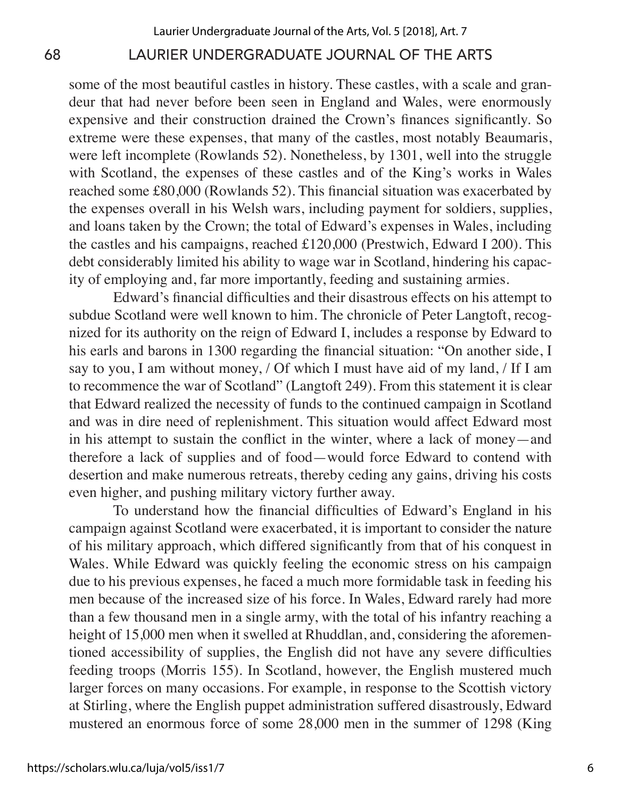some of the most beautiful castles in history. These castles, with a scale and grandeur that had never before been seen in England and Wales, were enormously expensive and their construction drained the Crown's finances significantly. So extreme were these expenses, that many of the castles, most notably Beaumaris, were left incomplete (Rowlands 52). Nonetheless, by 1301, well into the struggle with Scotland, the expenses of these castles and of the King's works in Wales reached some £80,000 (Rowlands 52). This financial situation was exacerbated by the expenses overall in his Welsh wars, including payment for soldiers, supplies, and loans taken by the Crown; the total of Edward's expenses in Wales, including the castles and his campaigns, reached £120,000 (Prestwich, Edward I 200). This debt considerably limited his ability to wage war in Scotland, hindering his capacity of employing and, far more importantly, feeding and sustaining armies.

Edward's financial difficulties and their disastrous effects on his attempt to subdue Scotland were well known to him. The chronicle of Peter Langtoft, recognized for its authority on the reign of Edward I, includes a response by Edward to his earls and barons in 1300 regarding the financial situation: "On another side, I say to you, I am without money, / Of which I must have aid of my land, / If I am to recommence the war of Scotland" (Langtoft 249). From this statement it is clear that Edward realized the necessity of funds to the continued campaign in Scotland and was in dire need of replenishment. This situation would affect Edward most in his attempt to sustain the conflict in the winter, where a lack of money—and therefore a lack of supplies and of food—would force Edward to contend with desertion and make numerous retreats, thereby ceding any gains, driving his costs even higher, and pushing military victory further away.

To understand how the financial difficulties of Edward's England in his campaign against Scotland were exacerbated, it is important to consider the nature of his military approach, which differed significantly from that of his conquest in Wales. While Edward was quickly feeling the economic stress on his campaign due to his previous expenses, he faced a much more formidable task in feeding his men because of the increased size of his force. In Wales, Edward rarely had more than a few thousand men in a single army, with the total of his infantry reaching a height of 15,000 men when it swelled at Rhuddlan, and, considering the aforementioned accessibility of supplies, the English did not have any severe difficulties feeding troops (Morris 155). In Scotland, however, the English mustered much larger forces on many occasions. For example, in response to the Scottish victory at Stirling, where the English puppet administration suffered disastrously, Edward mustered an enormous force of some 28,000 men in the summer of 1298 (King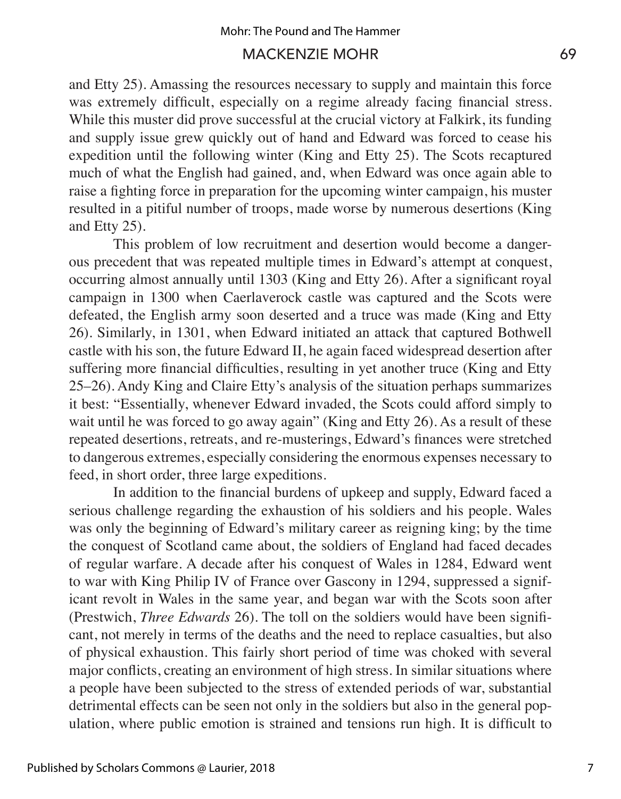and Etty 25). Amassing the resources necessary to supply and maintain this force was extremely difficult, especially on a regime already facing financial stress. While this muster did prove successful at the crucial victory at Falkirk, its funding and supply issue grew quickly out of hand and Edward was forced to cease his expedition until the following winter (King and Etty 25). The Scots recaptured much of what the English had gained, and, when Edward was once again able to raise a fighting force in preparation for the upcoming winter campaign, his muster resulted in a pitiful number of troops, made worse by numerous desertions (King and Etty 25).

This problem of low recruitment and desertion would become a dangerous precedent that was repeated multiple times in Edward's attempt at conquest, occurring almost annually until 1303 (King and Etty 26). After a significant royal campaign in 1300 when Caerlaverock castle was captured and the Scots were defeated, the English army soon deserted and a truce was made (King and Etty 26). Similarly, in 1301, when Edward initiated an attack that captured Bothwell castle with his son, the future Edward II, he again faced widespread desertion after suffering more financial difficulties, resulting in yet another truce (King and Etty 25–26). Andy King and Claire Etty's analysis of the situation perhaps summarizes it best: "Essentially, whenever Edward invaded, the Scots could afford simply to wait until he was forced to go away again" (King and Etty 26). As a result of these repeated desertions, retreats, and re-musterings, Edward's finances were stretched to dangerous extremes, especially considering the enormous expenses necessary to feed, in short order, three large expeditions.

In addition to the financial burdens of upkeep and supply, Edward faced a serious challenge regarding the exhaustion of his soldiers and his people. Wales was only the beginning of Edward's military career as reigning king; by the time the conquest of Scotland came about, the soldiers of England had faced decades of regular warfare. A decade after his conquest of Wales in 1284, Edward went to war with King Philip IV of France over Gascony in 1294, suppressed a significant revolt in Wales in the same year, and began war with the Scots soon after (Prestwich, *Three Edwards* 26). The toll on the soldiers would have been significant, not merely in terms of the deaths and the need to replace casualties, but also of physical exhaustion. This fairly short period of time was choked with several major conflicts, creating an environment of high stress. In similar situations where a people have been subjected to the stress of extended periods of war, substantial detrimental effects can be seen not only in the soldiers but also in the general population, where public emotion is strained and tensions run high. It is difficult to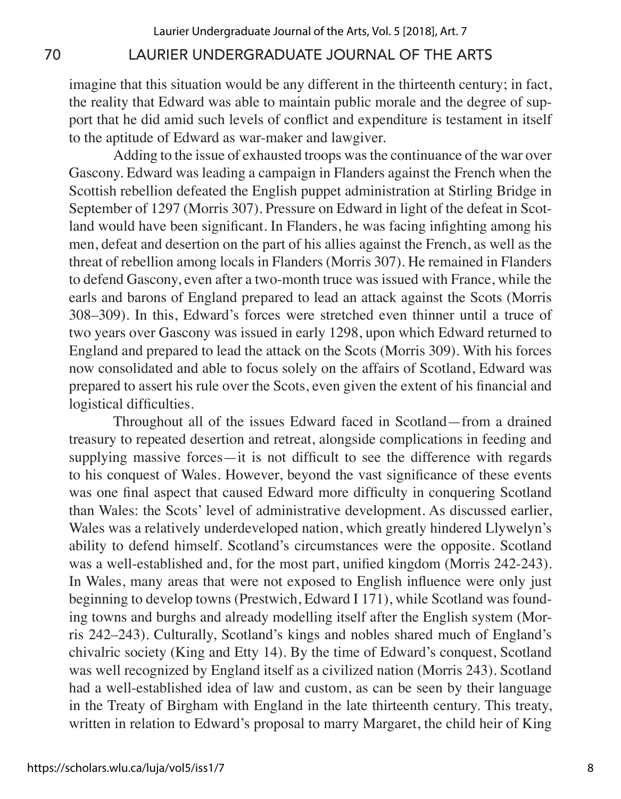imagine that this situation would be any different in the thirteenth century; in fact, the reality that Edward was able to maintain public morale and the degree of support that he did amid such levels of conflict and expenditure is testament in itself to the aptitude of Edward as war-maker and lawgiver.

Adding to the issue of exhausted troops was the continuance of the war over Gascony. Edward was leading a campaign in Flanders against the French when the Scottish rebellion defeated the English puppet administration at Stirling Bridge in September of 1297 (Morris 307). Pressure on Edward in light of the defeat in Scotland would have been significant. In Flanders, he was facing infighting among his men, defeat and desertion on the part of his allies against the French, as well as the threat of rebellion among locals in Flanders (Morris 307). He remained in Flanders to defend Gascony, even after a two-month truce was issued with France, while the earls and barons of England prepared to lead an attack against the Scots (Morris 308–309). In this, Edward's forces were stretched even thinner until a truce of two years over Gascony was issued in early 1298, upon which Edward returned to England and prepared to lead the attack on the Scots (Morris 309). With his forces now consolidated and able to focus solely on the affairs of Scotland, Edward was prepared to assert his rule over the Scots, even given the extent of his financial and logistical difficulties.

Throughout all of the issues Edward faced in Scotland—from a drained treasury to repeated desertion and retreat, alongside complications in feeding and supplying massive forces—it is not difficult to see the difference with regards to his conquest of Wales. However, beyond the vast significance of these events was one final aspect that caused Edward more difficulty in conquering Scotland than Wales: the Scots' level of administrative development. As discussed earlier, Wales was a relatively underdeveloped nation, which greatly hindered Llywelyn's ability to defend himself. Scotland's circumstances were the opposite. Scotland was a well-established and, for the most part, unified kingdom (Morris 242-243). In Wales, many areas that were not exposed to English influence were only just beginning to develop towns (Prestwich, Edward I 171), while Scotland was founding towns and burghs and already modelling itself after the English system (Morris 242–243). Culturally, Scotland's kings and nobles shared much of England's chivalric society (King and Etty 14). By the time of Edward's conquest, Scotland was well recognized by England itself as a civilized nation (Morris 243). Scotland had a well-established idea of law and custom, as can be seen by their language in the Treaty of Birgham with England in the late thirteenth century. This treaty, written in relation to Edward's proposal to marry Margaret, the child heir of King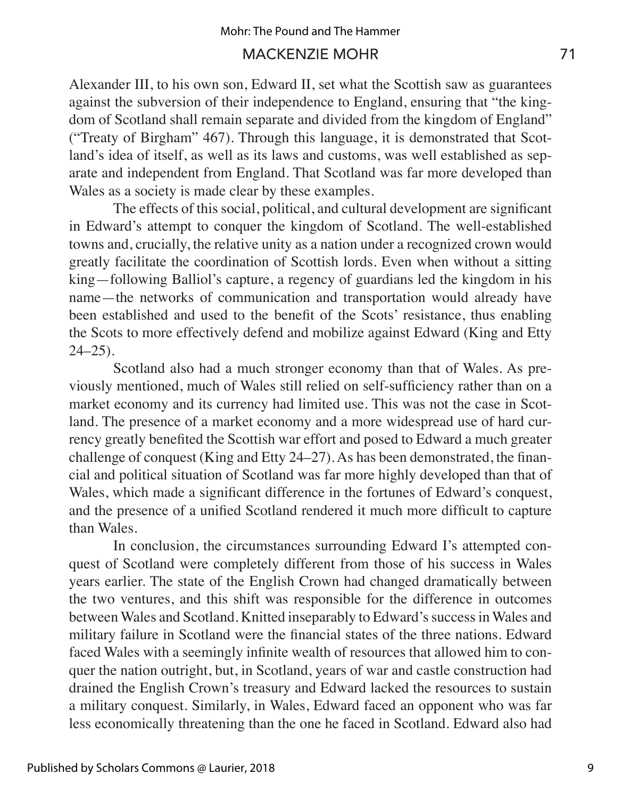Alexander III, to his own son, Edward II, set what the Scottish saw as guarantees against the subversion of their independence to England, ensuring that "the kingdom of Scotland shall remain separate and divided from the kingdom of England" ("Treaty of Birgham" 467). Through this language, it is demonstrated that Scotland's idea of itself, as well as its laws and customs, was well established as separate and independent from England. That Scotland was far more developed than Wales as a society is made clear by these examples.

The effects of this social, political, and cultural development are significant in Edward's attempt to conquer the kingdom of Scotland. The well-established towns and, crucially, the relative unity as a nation under a recognized crown would greatly facilitate the coordination of Scottish lords. Even when without a sitting king—following Balliol's capture, a regency of guardians led the kingdom in his name—the networks of communication and transportation would already have been established and used to the benefit of the Scots' resistance, thus enabling the Scots to more effectively defend and mobilize against Edward (King and Etty  $24 - 25$ ).

Scotland also had a much stronger economy than that of Wales. As previously mentioned, much of Wales still relied on self-sufficiency rather than on a market economy and its currency had limited use. This was not the case in Scotland. The presence of a market economy and a more widespread use of hard currency greatly benefited the Scottish war effort and posed to Edward a much greater challenge of conquest (King and Etty 24–27). As has been demonstrated, the financial and political situation of Scotland was far more highly developed than that of Wales, which made a significant difference in the fortunes of Edward's conquest, and the presence of a unified Scotland rendered it much more difficult to capture than Wales.

In conclusion, the circumstances surrounding Edward I's attempted conquest of Scotland were completely different from those of his success in Wales years earlier. The state of the English Crown had changed dramatically between the two ventures, and this shift was responsible for the difference in outcomes between Wales and Scotland. Knitted inseparably to Edward's success in Wales and military failure in Scotland were the financial states of the three nations. Edward faced Wales with a seemingly infinite wealth of resources that allowed him to conquer the nation outright, but, in Scotland, years of war and castle construction had drained the English Crown's treasury and Edward lacked the resources to sustain a military conquest. Similarly, in Wales, Edward faced an opponent who was far less economically threatening than the one he faced in Scotland. Edward also had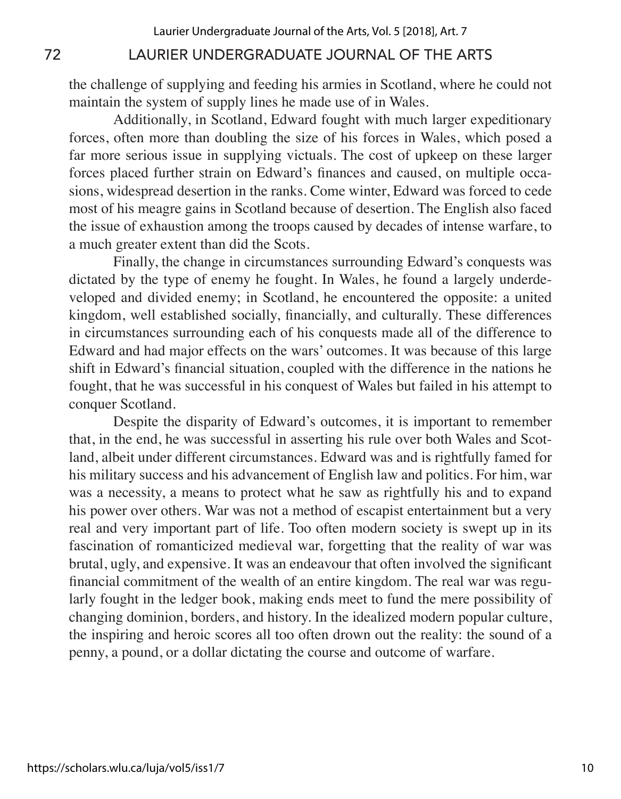the challenge of supplying and feeding his armies in Scotland, where he could not maintain the system of supply lines he made use of in Wales.

Additionally, in Scotland, Edward fought with much larger expeditionary forces, often more than doubling the size of his forces in Wales, which posed a far more serious issue in supplying victuals. The cost of upkeep on these larger forces placed further strain on Edward's finances and caused, on multiple occasions, widespread desertion in the ranks. Come winter, Edward was forced to cede most of his meagre gains in Scotland because of desertion. The English also faced the issue of exhaustion among the troops caused by decades of intense warfare, to a much greater extent than did the Scots.

Finally, the change in circumstances surrounding Edward's conquests was dictated by the type of enemy he fought. In Wales, he found a largely underdeveloped and divided enemy; in Scotland, he encountered the opposite: a united kingdom, well established socially, financially, and culturally. These differences in circumstances surrounding each of his conquests made all of the difference to Edward and had major effects on the wars' outcomes. It was because of this large shift in Edward's financial situation, coupled with the difference in the nations he fought, that he was successful in his conquest of Wales but failed in his attempt to conquer Scotland.

Despite the disparity of Edward's outcomes, it is important to remember that, in the end, he was successful in asserting his rule over both Wales and Scotland, albeit under different circumstances. Edward was and is rightfully famed for his military success and his advancement of English law and politics. For him, war was a necessity, a means to protect what he saw as rightfully his and to expand his power over others. War was not a method of escapist entertainment but a very real and very important part of life. Too often modern society is swept up in its fascination of romanticized medieval war, forgetting that the reality of war was brutal, ugly, and expensive. It was an endeavour that often involved the significant financial commitment of the wealth of an entire kingdom. The real war was regularly fought in the ledger book, making ends meet to fund the mere possibility of changing dominion, borders, and history. In the idealized modern popular culture, the inspiring and heroic scores all too often drown out the reality: the sound of a penny, a pound, or a dollar dictating the course and outcome of warfare.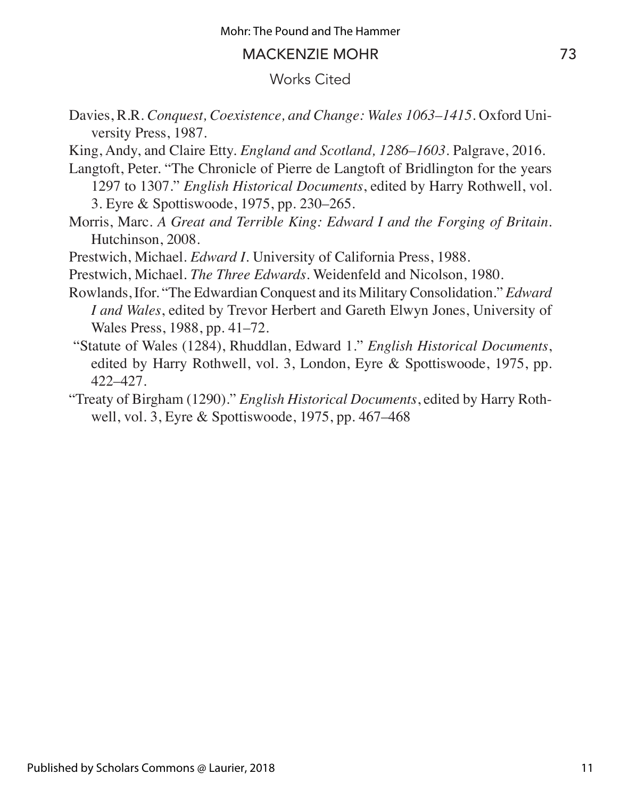### Works Cited

- Davies, R.R. *Conquest, Coexistence, and Change: Wales 1063–1415*. Oxford University Press, 1987.
- King, Andy, and Claire Etty. *England and Scotland, 1286–1603*. Palgrave, 2016.
- Langtoft, Peter. "The Chronicle of Pierre de Langtoft of Bridlington for the years 1297 to 1307." *English Historical Documents*, edited by Harry Rothwell, vol. 3. Eyre & Spottiswoode, 1975, pp. 230–265.

Morris, Marc. *A Great and Terrible King: Edward I and the Forging of Britain*. Hutchinson, 2008.

Prestwich, Michael. *Edward I*. University of California Press, 1988.

Prestwich, Michael. *The Three Edwards*. Weidenfeld and Nicolson, 1980.

- Rowlands, Ifor. "The Edwardian Conquest and its Military Consolidation." *Edward I and Wales*, edited by Trevor Herbert and Gareth Elwyn Jones, University of Wales Press, 1988, pp. 41–72.
- "Statute of Wales (1284), Rhuddlan, Edward 1." *English Historical Documents*, edited by Harry Rothwell, vol. 3, London, Eyre & Spottiswoode, 1975, pp. 422–427.
- "Treaty of Birgham (1290)." *English Historical Documents*, edited by Harry Rothwell, vol. 3, Eyre & Spottiswoode, 1975, pp. 467–468